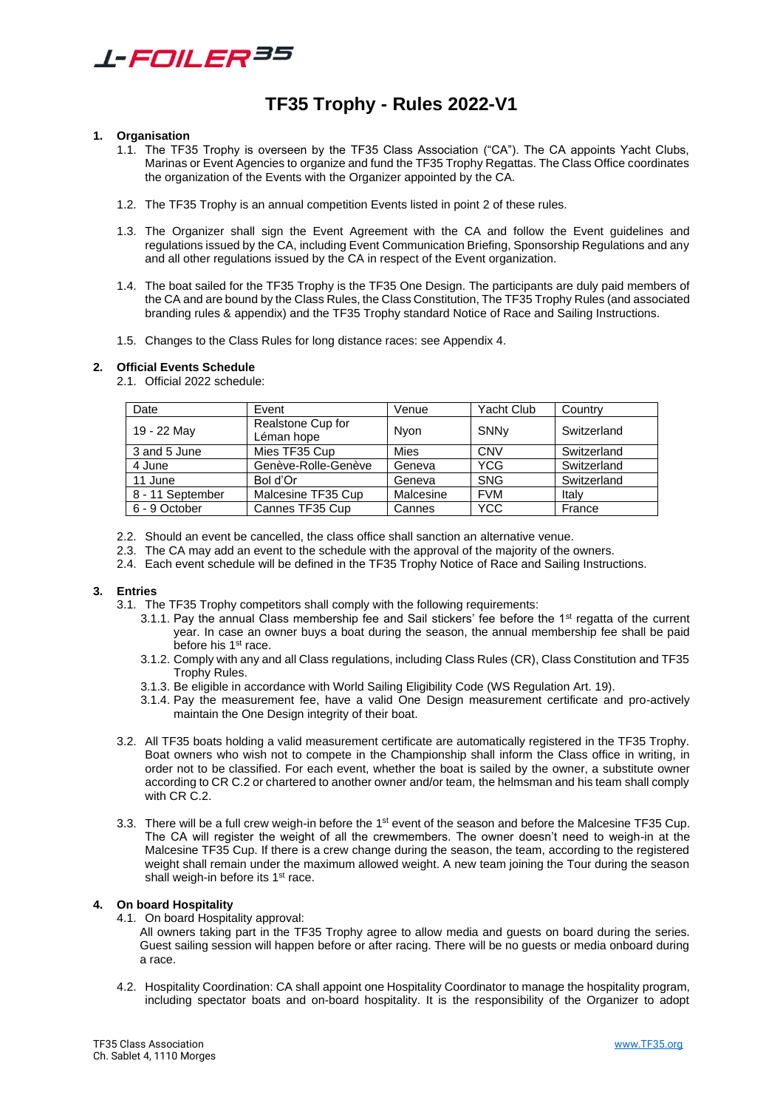

# **TF35 Trophy - Rules 2022-V1**

#### **1. Organisation**

- 1.1. The TF35 Trophy is overseen by the TF35 Class Association ("CA"). The CA appoints Yacht Clubs, Marinas or Event Agencies to organize and fund the TF35 Trophy Regattas. The Class Office coordinates the organization of the Events with the Organizer appointed by the CA.
- 1.2. The TF35 Trophy is an annual competition Events listed in point 2 of these rules.
- 1.3. The Organizer shall sign the Event Agreement with the CA and follow the Event guidelines and regulations issued by the CA, including Event Communication Briefing, Sponsorship Regulations and any and all other regulations issued by the CA in respect of the Event organization.
- 1.4. The boat sailed for the TF35 Trophy is the TF35 One Design. The participants are duly paid members of the CA and are bound by the Class Rules, the Class Constitution, The TF35 Trophy Rules (and associated branding rules & appendix) and the TF35 Trophy standard Notice of Race and Sailing Instructions.
- 1.5. Changes to the Class Rules for long distance races: see Appendix 4.

#### **2. Official Events Schedule**

2.1. Official 2022 schedule:

| Date             | Event                           | Venue       | Yacht Club | Country     |
|------------------|---------------------------------|-------------|------------|-------------|
| 19 - 22 May      | Realstone Cup for<br>Léman hope | Nvon        | SNNy       | Switzerland |
| 3 and 5 June     | Mies TF35 Cup                   | <b>Mies</b> | <b>CNV</b> | Switzerland |
| 4 June           | Genève-Rolle-Genève             | Geneva      | <b>YCG</b> | Switzerland |
| 11 June          | Bol d'Or                        | Geneva      | <b>SNG</b> | Switzerland |
| 8 - 11 September | Malcesine TF35 Cup              | Malcesine   | <b>FVM</b> | Italy       |
| 6 - 9 October    | Cannes TF35 Cup                 | Cannes      | <b>YCC</b> | France      |

- 2.2. Should an event be cancelled, the class office shall sanction an alternative venue.
- 2.3. The CA may add an event to the schedule with the approval of the majority of the owners.
- 2.4. Each event schedule will be defined in the TF35 Trophy Notice of Race and Sailing Instructions.

#### **3. Entries**

- 3.1. The TF35 Trophy competitors shall comply with the following requirements:
	- 3.1.1. Pay the annual Class membership fee and Sail stickers' fee before the 1st regatta of the current year. In case an owner buys a boat during the season, the annual membership fee shall be paid before his 1<sup>st</sup> race.
	- 3.1.2. Comply with any and all Class regulations, including Class Rules (CR), Class Constitution and TF35 Trophy Rules.
	- 3.1.3. Be eligible in accordance with World Sailing Eligibility Code (WS Regulation Art. 19).
	- 3.1.4. Pay the measurement fee, have a valid One Design measurement certificate and pro-actively maintain the One Design integrity of their boat.
- 3.2. All TF35 boats holding a valid measurement certificate are automatically registered in the TF35 Trophy. Boat owners who wish not to compete in the Championship shall inform the Class office in writing, in order not to be classified. For each event, whether the boat is sailed by the owner, a substitute owner according to CR C.2 or chartered to another owner and/or team, the helmsman and his team shall comply with CR<sub>C</sub>.2.
- 3.3. There will be a full crew weigh-in before the 1<sup>st</sup> event of the season and before the Malcesine TF35 Cup. The CA will register the weight of all the crewmembers. The owner doesn't need to weigh-in at the Malcesine TF35 Cup. If there is a crew change during the season, the team, according to the registered weight shall remain under the maximum allowed weight. A new team joining the Tour during the season shall weigh-in before its 1<sup>st</sup> race.

#### **4. On board Hospitality**

4.1. On board Hospitality approval:

All owners taking part in the TF35 Trophy agree to allow media and guests on board during the series. Guest sailing session will happen before or after racing. There will be no guests or media onboard during a race.

4.2. Hospitality Coordination: CA shall appoint one Hospitality Coordinator to manage the hospitality program, including spectator boats and on-board hospitality. It is the responsibility of the Organizer to adopt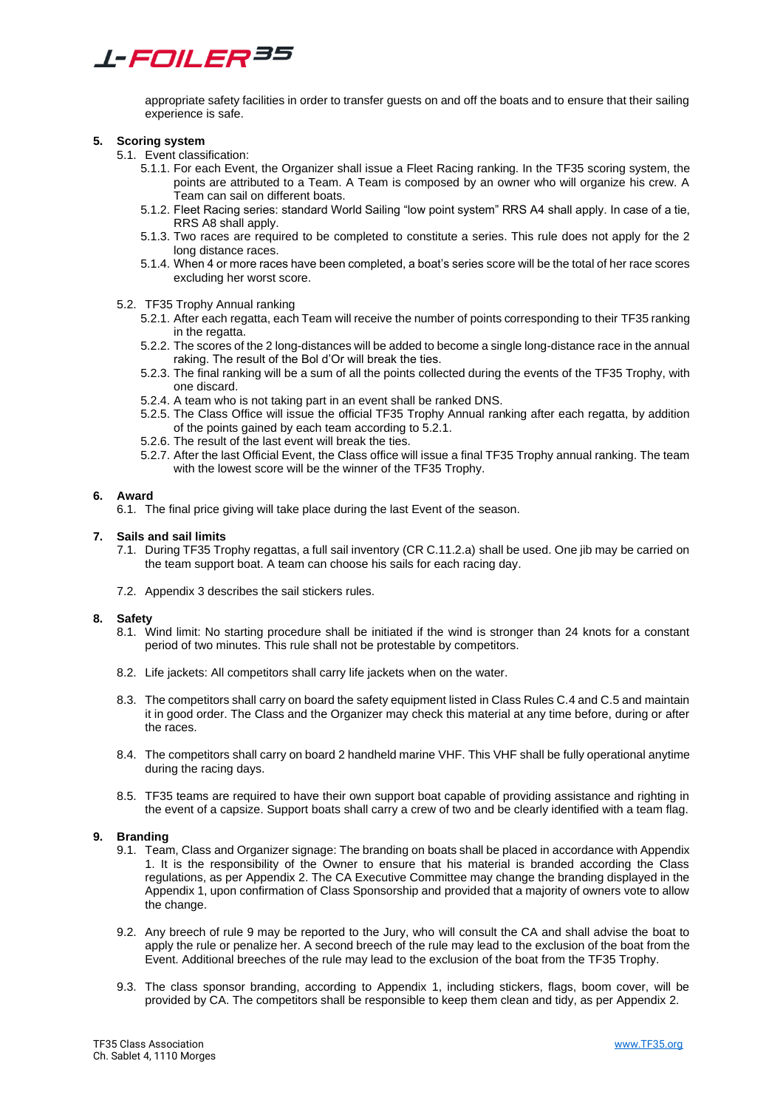# *L-FOILER35*

appropriate safety facilities in order to transfer guests on and off the boats and to ensure that their sailing experience is safe.

#### **5. Scoring system**

- 5.1. Event classification:
	- 5.1.1. For each Event, the Organizer shall issue a Fleet Racing ranking. In the TF35 scoring system, the points are attributed to a Team. A Team is composed by an owner who will organize his crew. A .<br>Team can sail on different boats.
	- 5.1.2. Fleet Racing series: standard World Sailing "low point system" RRS A4 shall apply. In case of a tie, RRS A8 shall apply.
	- 5.1.3. Two races are required to be completed to constitute a series. This rule does not apply for the 2 long distance races.
	- 5.1.4. When 4 or more races have been completed, a boat's series score will be the total of her race scores excluding her worst score.

#### 5.2. TF35 Trophy Annual ranking

- 5.2.1. After each regatta, each Team will receive the number of points corresponding to their TF35 ranking in the regatta.
- 5.2.2. The scores of the 2 long-distances will be added to become a single long-distance race in the annual raking. The result of the Bol d'Or will break the ties.
- 5.2.3. The final ranking will be a sum of all the points collected during the events of the TF35 Trophy, with one discard.
- 5.2.4. A team who is not taking part in an event shall be ranked DNS.
- 5.2.5. The Class Office will issue the official TF35 Trophy Annual ranking after each regatta, by addition of the points gained by each team according to 5.2.1.
- 5.2.6. The result of the last event will break the ties.
- 5.2.7. After the last Official Event, the Class office will issue a final TF35 Trophy annual ranking. The team with the lowest score will be the winner of the TF35 Trophy.

#### **6. Award**

6.1. The final price giving will take place during the last Event of the season.

#### **7. Sails and sail limits**

- 7.1. During TF35 Trophy regattas, a full sail inventory (CR C.11.2.a) shall be used. One jib may be carried on the team support boat. A team can choose his sails for each racing day.
- 7.2. Appendix 3 describes the sail stickers rules.

#### **8. Safety**

- 8.1. Wind limit: No starting procedure shall be initiated if the wind is stronger than 24 knots for a constant period of two minutes. This rule shall not be protestable by competitors.
- 8.2. Life jackets: All competitors shall carry life jackets when on the water.
- 8.3. The competitors shall carry on board the safety equipment listed in Class Rules C.4 and C.5 and maintain it in good order. The Class and the Organizer may check this material at any time before, during or after the races.
- 8.4. The competitors shall carry on board 2 handheld marine VHF. This VHF shall be fully operational anytime during the racing days.
- 8.5. TF35 teams are required to have their own support boat capable of providing assistance and righting in the event of a capsize. Support boats shall carry a crew of two and be clearly identified with a team flag.

#### **9. Branding**

- 9.1. Team, Class and Organizer signage: The branding on boats shall be placed in accordance with Appendix 1. It is the responsibility of the Owner to ensure that his material is branded according the Class regulations, as per Appendix 2. The CA Executive Committee may change the branding displayed in the Appendix 1, upon confirmation of Class Sponsorship and provided that a majority of owners vote to allow the change.
- 9.2. Any breech of rule 9 may be reported to the Jury, who will consult the CA and shall advise the boat to apply the rule or penalize her. A second breech of the rule may lead to the exclusion of the boat from the Event. Additional breeches of the rule may lead to the exclusion of the boat from the TF35 Trophy.
- 9.3. The class sponsor branding, according to Appendix 1, including stickers, flags, boom cover, will be provided by CA. The competitors shall be responsible to keep them clean and tidy, as per Appendix 2.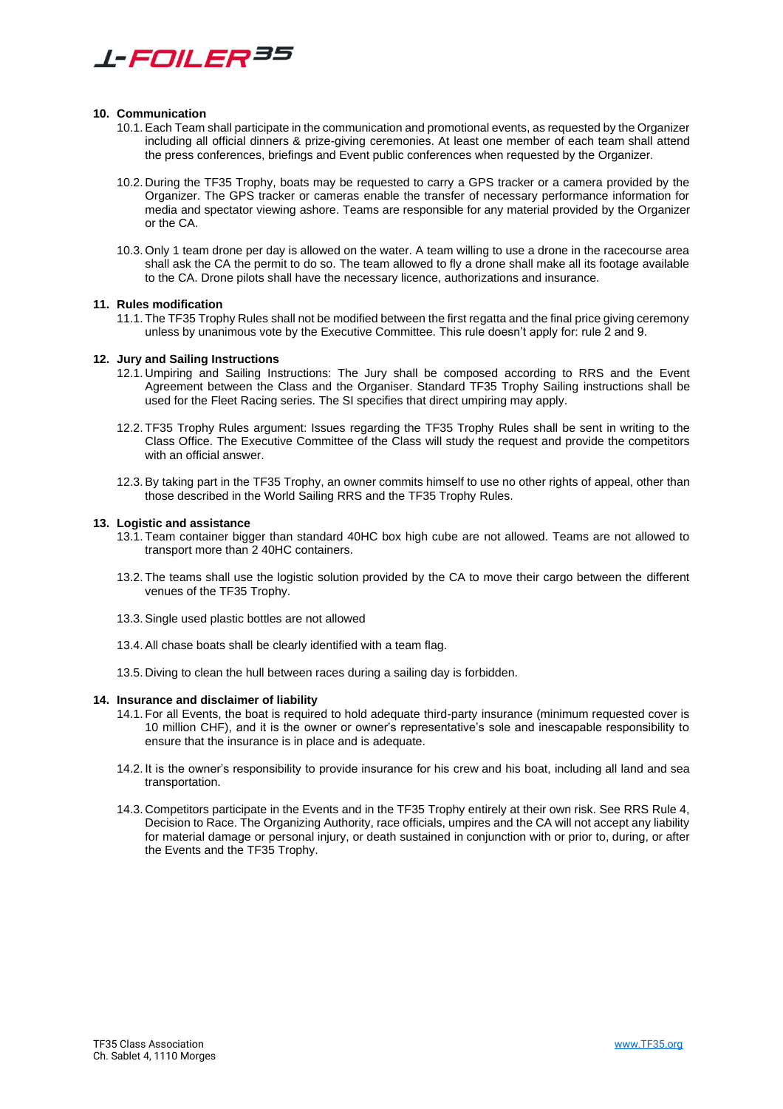

#### **10. Communication**

- 10.1.Each Team shall participate in the communication and promotional events, as requested by the Organizer including all official dinners & prize-giving ceremonies. At least one member of each team shall attend the press conferences, briefings and Event public conferences when requested by the Organizer.
- 10.2. During the TF35 Trophy, boats may be requested to carry a GPS tracker or a camera provided by the Organizer. The GPS tracker or cameras enable the transfer of necessary performance information for media and spectator viewing ashore. Teams are responsible for any material provided by the Organizer or the CA.
- 10.3. Only 1 team drone per day is allowed on the water. A team willing to use a drone in the racecourse area shall ask the CA the permit to do so. The team allowed to fly a drone shall make all its footage available to the CA. Drone pilots shall have the necessary licence, authorizations and insurance.

#### **11. Rules modification**

11.1. The TF35 Trophy Rules shall not be modified between the first regatta and the final price giving ceremony unless by unanimous vote by the Executive Committee. This rule doesn't apply for: rule 2 and 9.

#### **12. Jury and Sailing Instructions**

- 12.1. Umpiring and Sailing Instructions: The Jury shall be composed according to RRS and the Event Agreement between the Class and the Organiser. Standard TF35 Trophy Sailing instructions shall be used for the Fleet Racing series. The SI specifies that direct umpiring may apply.
- 12.2. TF35 Trophy Rules argument: Issues regarding the TF35 Trophy Rules shall be sent in writing to the Class Office. The Executive Committee of the Class will study the request and provide the competitors with an official answer.
- 12.3.By taking part in the TF35 Trophy, an owner commits himself to use no other rights of appeal, other than those described in the World Sailing RRS and the TF35 Trophy Rules.

#### **13. Logistic and assistance**

- 13.1. Team container bigger than standard 40HC box high cube are not allowed. Teams are not allowed to transport more than 2 40HC containers.
- 13.2. The teams shall use the logistic solution provided by the CA to move their cargo between the different venues of the TF35 Trophy.
- 13.3.Single used plastic bottles are not allowed
- 13.4.All chase boats shall be clearly identified with a team flag.
- 13.5. Diving to clean the hull between races during a sailing day is forbidden.

#### **14. Insurance and disclaimer of liability**

- 14.1. For all Events, the boat is required to hold adequate third-party insurance (minimum requested cover is 10 million CHF), and it is the owner or owner's representative's sole and inescapable responsibility to ensure that the insurance is in place and is adequate.
- 14.2. It is the owner's responsibility to provide insurance for his crew and his boat, including all land and sea transportation.
- 14.3. Competitors participate in the Events and in the TF35 Trophy entirely at their own risk. See RRS Rule 4, Decision to Race. The Organizing Authority, race officials, umpires and the CA will not accept any liability for material damage or personal injury, or death sustained in conjunction with or prior to, during, or after the Events and the TF35 Trophy.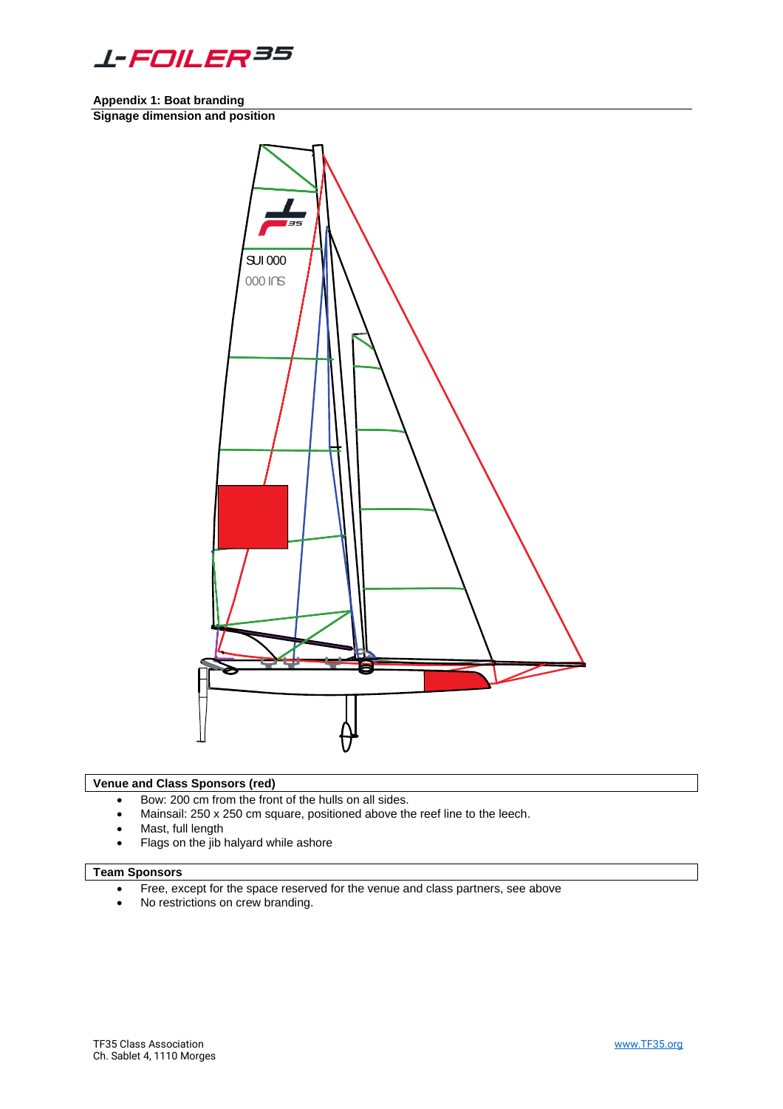

**Appendix 1: Boat branding**

**Signage dimension and position**



#### **Venue and Class Sponsors (red)**

- Bow: 200 cm from the front of the hulls on all sides.
- Mainsail: 250 x 250 cm square, positioned above the reef line to the leech.
- Mast, full length
- Flags on the jib halyard while ashore

# **Team Sponsors**

- Free, except for the space reserved for the venue and class partners, see above
- No restrictions on crew branding.